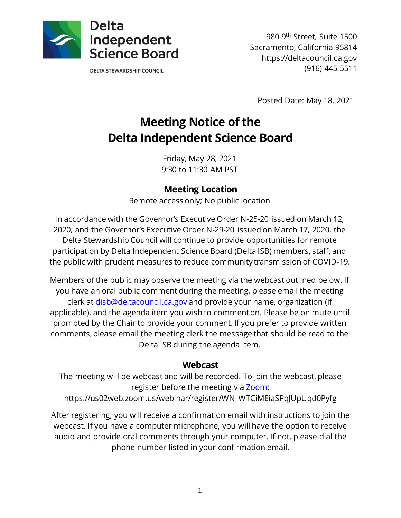

**DELTA STEWARDSHIP COUNCIL** 

980 9th Street, Suite 1500 Sacramento, California 95814 https://deltacouncil.ca.gov (916) 445-5511

Posted Date: May 18, 2021

# **Meeting Notice of the Delta Independent Science Board**

Friday, May 28, 2021 9:30 to 11:30 AM PST

#### **Meeting Location**

Remote access only; No public location

In accordance with the Governor's Executive Order N-25-20 issued on March 12, 2020, and the Governor's Executive Order N-29-20 issued on March 17, 2020, the Delta Stewardship Council will continue to provide opportunities for remote participation by Delta Independent Science Board (Delta ISB) members, staff, and the public with prudent measures to reduce community transmission of COVID-19.

Members of the public may observe the meeting via the webcast outlined below. If you have an oral public comment during the meeting, please email the meeting clerk at [disb@deltacouncil.ca.gov](mailto:disb@deltacouncil.ca.gov) and provide your name, organization (if applicable), and the agenda item you wish to comment on. Please be on mute until prompted by the Chair to provide your comment. If you prefer to provide written comments, please email the meeting clerk the message that should be read to the Delta ISB during the agenda item.

#### **Webcast**

The meeting will be webcast and will be recorded. To join the webcast, please register before the meeting via [Zoom:](https://us02web.zoom.us/webinar/register/WN_WTCiMEiaSPqJUpUqd0Pyfg)

https://us02web.zoom.us/webinar/register/WN\_WTCiMEiaSPqJUpUqd0Pyfg

After registering, you will receive a confirmation email with instructions to join the webcast. If you have a computer microphone, you will have the option to receive audio and provide oral comments through your computer. If not, please dial the phone number listed in your confirmation email.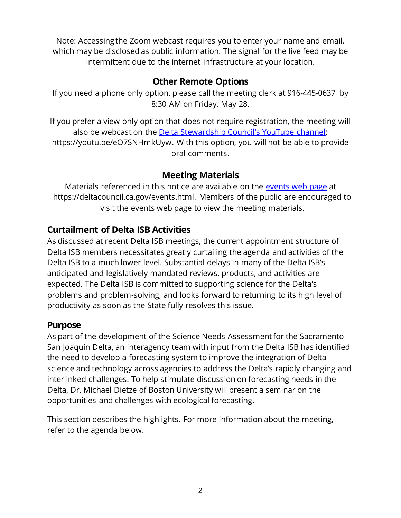Note: Accessing the Zoom webcast requires you to enter your name and email, which may be disclosed as public information. The signal for the live feed may be intermittent due to the internet infrastructure at your location.

#### **Other Remote Options**

If you need a phone only option, please call the meeting clerk at 916-445-0637 by 8:30 AM on Friday, May 28.

If you prefer a view-only option that does not require registration, the meeting will also be webcast on the [Delta Stewardship Council's YouTube channel:](https://youtu.be/eO7SNHmkUyw) https://youtu.be/eO7SNHmkUyw. With this option, you will not be able to provide oral comments.

### **Meeting Materials**

Materials referenced in this notice are available on the [events web page](https://deltacouncil.ca.gov/events.html) at https://deltacouncil.ca.gov/events.html. Members of the public are encouraged to visit the events web page to view the meeting materials.

# **Curtailment of Delta ISB Activities**

As discussed at recent Delta ISB meetings, the current appointment structure of Delta ISB members necessitates greatly curtailing the agenda and activities of the Delta ISB to a much lower level. Substantial delays in many of the Delta ISB's anticipated and legislatively mandated reviews, products, and activities are expected. The Delta ISB is committed to supporting science for the Delta's problems and problem-solving, and looks forward to returning to its high level of productivity as soon as the State fully resolves this issue.

#### **Purpose**

As part of the development of the Science Needs Assessment for the Sacramento-San Joaquin Delta, an interagency team with input from the Delta ISB has identified the need to develop a forecasting system to improve the integration of Delta science and technology across agencies to address the Delta's rapidly changing and interlinked challenges. To help stimulate discussion on forecasting needs in the Delta, Dr. Michael Dietze of Boston University will present a seminar on the opportunities and challenges with ecological forecasting.

This section describes the highlights. For more information about the meeting, refer to the agenda below.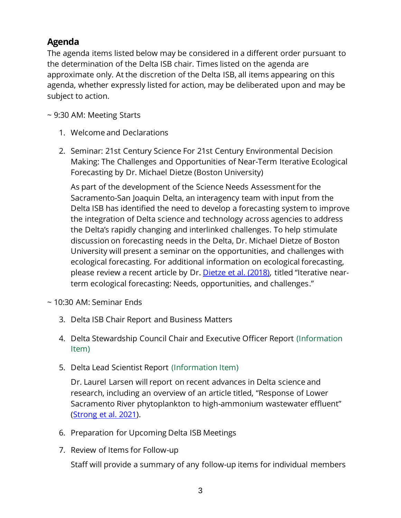# **Agenda**

The agenda items listed below may be considered in a different order pursuant to the determination of the Delta ISB chair. Times listed on the agenda are approximate only. At the discretion of the Delta ISB, all items appearing on this agenda, whether expressly listed for action, may be deliberated upon and may be subject to action.

~ 9:30 AM: Meeting Starts

- 1. Welcome and Declarations
- 2. Seminar: 21st Century Science For 21st Century Environmental Decision Making: The Challenges and Opportunities of Near-Term Iterative Ecological Forecasting by Dr. Michael Dietze (Boston University)

As part of the development of the Science Needs Assessment for the Sacramento-San Joaquin Delta, an interagency team with input from the Delta ISB has identified the need to develop a forecasting system to improve the integration of Delta science and technology across agencies to address the Delta's rapidly changing and interlinked challenges. To help stimulate discussion on forecasting needs in the Delta, Dr. Michael Dietze of Boston University will present a seminar on the opportunities, and challenges with ecological forecasting. For additional information on ecological forecasting, please review a recent article by Dr[. Dietze et al. \(2018\),](https://www.pnas.org/content/115/7/1424.short) titled "Iterative nearterm ecological forecasting: Needs, opportunities, and challenges."

- ~ 10:30 AM: Seminar Ends
	- 3. Delta ISB Chair Report and Business Matters
	- 4. Delta Stewardship Council Chair and Executive Officer Report (Information Item)
	- 5. Delta Lead Scientist Report (Information Item)

Dr. Laurel Larsen will report on recent advances in Delta science and research, including an overview of an article titled, "Response of Lower Sacramento River phytoplankton to high-ammonium wastewater effluent" [\(Strong et al. 2021\)](https://online.ucpress.edu/elementa/article/9/1/040/116040/Response-of-Lower-Sacramento-River-phytoplankton).

- 6. Preparation for Upcoming Delta ISB Meetings
- 7. Review of Items for Follow-up

Staff will provide a summary of any follow-up items for individual members